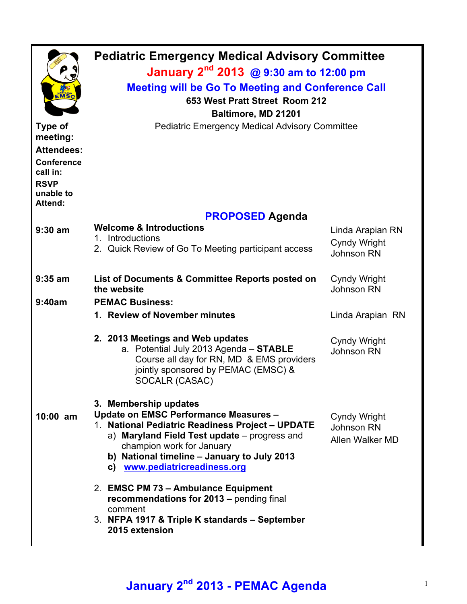| EMSC<br>Type of                                                                                              | <b>Pediatric Emergency Medical Advisory Committee</b><br>January 2 <sup>nd</sup> 2013 @ 9:30 am to 12:00 pm<br><b>Meeting will be Go To Meeting and Conference Call</b><br>653 West Pratt Street Room 212<br>Baltimore, MD 21201<br><b>Pediatric Emergency Medical Advisory Committee</b> |                                                       |  |  |  |
|--------------------------------------------------------------------------------------------------------------|-------------------------------------------------------------------------------------------------------------------------------------------------------------------------------------------------------------------------------------------------------------------------------------------|-------------------------------------------------------|--|--|--|
| meeting:<br><b>Attendees:</b><br><b>Conference</b><br>call in:<br><b>RSVP</b><br>unable to<br><b>Attend:</b> |                                                                                                                                                                                                                                                                                           |                                                       |  |  |  |
|                                                                                                              | <b>PROPOSED Agenda</b>                                                                                                                                                                                                                                                                    |                                                       |  |  |  |
| $9:30$ am                                                                                                    | <b>Welcome &amp; Introductions</b><br>1. Introductions<br>2. Quick Review of Go To Meeting participant access                                                                                                                                                                             | Linda Arapian RN<br><b>Cyndy Wright</b><br>Johnson RN |  |  |  |
| $9:35$ am                                                                                                    | List of Documents & Committee Reports posted on<br>the website                                                                                                                                                                                                                            | <b>Cyndy Wright</b><br>Johnson RN                     |  |  |  |
| 9:40am                                                                                                       | <b>PEMAC Business:</b>                                                                                                                                                                                                                                                                    |                                                       |  |  |  |
|                                                                                                              | 1. Review of November minutes                                                                                                                                                                                                                                                             | Linda Arapian RN                                      |  |  |  |
|                                                                                                              | 2. 2013 Meetings and Web updates<br>a. Potential July 2013 Agenda - STABLE<br>Course all day for RN, MD & EMS providers<br>jointly sponsored by PEMAC (EMSC) &<br>SOCALR (CASAC)                                                                                                          | Cyndy Wright<br>Johnson RN                            |  |  |  |
| $10:00$ am                                                                                                   | 3. Membership updates<br>Update on EMSC Performance Measures -<br>1. National Pediatric Readiness Project - UPDATE<br>a) Maryland Field Test update - progress and<br>champion work for January<br>b) National timeline - January to July 2013<br>c) www.pediatricreadiness.org           | <b>Cyndy Wright</b><br>Johnson RN<br>Allen Walker MD  |  |  |  |
|                                                                                                              | 2. EMSC PM 73 - Ambulance Equipment<br>recommendations for 2013 - pending final<br>comment<br>3. NFPA 1917 & Triple K standards - September<br>2015 extension                                                                                                                             |                                                       |  |  |  |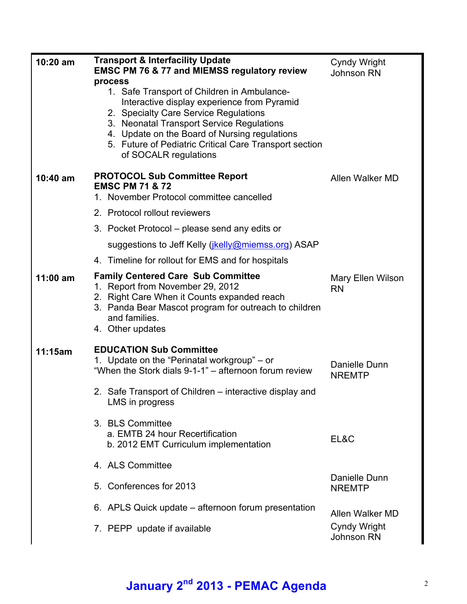| $10:20$ am | <b>Transport &amp; Interfacility Update</b><br><b>EMSC PM 76 &amp; 77 and MIEMSS regulatory review</b><br>process<br>1. Safe Transport of Children in Ambulance-<br>Interactive display experience from Pyramid<br>2. Specialty Care Service Regulations<br>3. Neonatal Transport Service Regulations<br>4. Update on the Board of Nursing regulations<br>5. Future of Pediatric Critical Care Transport section<br>of SOCALR regulations | <b>Cyndy Wright</b><br><b>Johnson RN</b> |
|------------|-------------------------------------------------------------------------------------------------------------------------------------------------------------------------------------------------------------------------------------------------------------------------------------------------------------------------------------------------------------------------------------------------------------------------------------------|------------------------------------------|
| $10:40$ am | <b>PROTOCOL Sub Committee Report</b><br><b>EMSC PM 71 &amp; 72</b><br>1. November Protocol committee cancelled                                                                                                                                                                                                                                                                                                                            | Allen Walker MD                          |
|            | 2. Protocol rollout reviewers                                                                                                                                                                                                                                                                                                                                                                                                             |                                          |
|            | 3. Pocket Protocol – please send any edits or                                                                                                                                                                                                                                                                                                                                                                                             |                                          |
|            | suggestions to Jeff Kelly ( <i>jkelly@miemss.org</i> ) ASAP                                                                                                                                                                                                                                                                                                                                                                               |                                          |
|            | 4. Timeline for rollout for EMS and for hospitals                                                                                                                                                                                                                                                                                                                                                                                         |                                          |
| $11:00$ am | <b>Family Centered Care Sub Committee</b><br>1. Report from November 29, 2012<br>2. Right Care When it Counts expanded reach<br>3. Panda Bear Mascot program for outreach to children<br>and families.<br>4. Other updates                                                                                                                                                                                                                | Mary Ellen Wilson<br><b>RN</b>           |
| 11:15am    | <b>EDUCATION Sub Committee</b><br>1. Update on the "Perinatal workgroup" – or<br>"When the Stork dials 9-1-1" – afternoon forum review                                                                                                                                                                                                                                                                                                    | Danielle Dunn<br><b>NREMTP</b>           |
|            | 2. Safe Transport of Children – interactive display and<br>LMS in progress                                                                                                                                                                                                                                                                                                                                                                |                                          |
|            | 3. BLS Committee<br>a. EMTB 24 hour Recertification<br>b. 2012 EMT Curriculum implementation                                                                                                                                                                                                                                                                                                                                              | EL&C                                     |
|            | 4. ALS Committee                                                                                                                                                                                                                                                                                                                                                                                                                          |                                          |
|            | 5. Conferences for 2013                                                                                                                                                                                                                                                                                                                                                                                                                   | Danielle Dunn<br><b>NREMTP</b>           |
|            | 6. APLS Quick update – afternoon forum presentation                                                                                                                                                                                                                                                                                                                                                                                       | Allen Walker MD                          |
|            | 7. PEPP update if available                                                                                                                                                                                                                                                                                                                                                                                                               | <b>Cyndy Wright</b><br><b>Johnson RN</b> |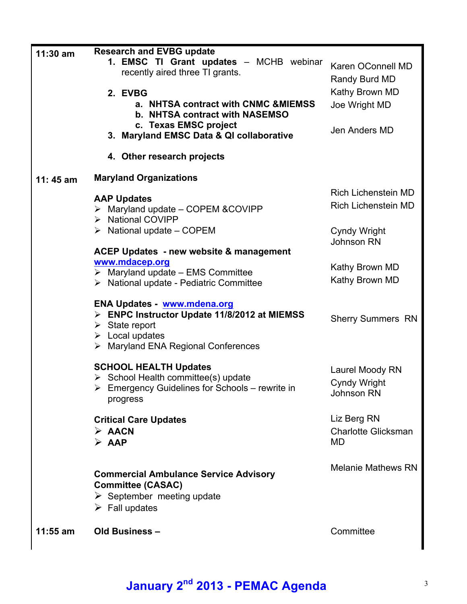| 11:30 am<br>11:45 am | <b>Research and EVBG update</b><br>1. EMSC TI Grant updates - MCHB webinar<br>recently aired three TI grants.<br>2. EVBG<br>a. NHTSA contract with CNMC & MIEMSS<br>b. NHTSA contract with NASEMSO<br>c. Texas EMSC project<br>3. Maryland EMSC Data & QI collaborative<br>4. Other research projects<br><b>Maryland Organizations</b> | Karen OConnell MD<br>Randy Burd MD<br>Kathy Brown MD<br>Joe Wright MD<br>Jen Anders MD |
|----------------------|----------------------------------------------------------------------------------------------------------------------------------------------------------------------------------------------------------------------------------------------------------------------------------------------------------------------------------------|----------------------------------------------------------------------------------------|
|                      | <b>AAP Updates</b><br>$\triangleright$ Maryland update - COPEM & COVIPP<br>> National COVIPP                                                                                                                                                                                                                                           | <b>Rich Lichenstein MD</b><br><b>Rich Lichenstein MD</b>                               |
|                      | $\triangleright$ National update – COPEM                                                                                                                                                                                                                                                                                               | <b>Cyndy Wright</b><br>Johnson RN                                                      |
|                      | <b>ACEP Updates - new website &amp; management</b><br>www.mdacep.org<br>$\triangleright$ Maryland update - EMS Committee<br>$\triangleright$ National update - Pediatric Committee                                                                                                                                                     | Kathy Brown MD<br>Kathy Brown MD                                                       |
|                      | ENA Updates - www.mdena.org<br>> ENPC Instructor Update 11/8/2012 at MIEMSS<br>$\triangleright$ State report<br>$\triangleright$ Local updates<br>$\triangleright$ Maryland ENA Regional Conferences                                                                                                                                   | <b>Sherry Summers RN</b>                                                               |
|                      | <b>SCHOOL HEALTH Updates</b><br>$\triangleright$ School Health committee(s) update<br>$\triangleright$ Emergency Guidelines for Schools – rewrite in<br>progress                                                                                                                                                                       | Laurel Moody RN<br><b>Cyndy Wright</b><br><b>Johnson RN</b>                            |
|                      | <b>Critical Care Updates</b><br>$\triangleright$ AACN<br>$\triangleright$ AAP                                                                                                                                                                                                                                                          | Liz Berg RN<br><b>Charlotte Glicksman</b><br><b>MD</b>                                 |
|                      | <b>Commercial Ambulance Service Advisory</b><br><b>Committee (CASAC)</b><br>$\triangleright$ September meeting update<br>$\triangleright$ Fall updates                                                                                                                                                                                 | <b>Melanie Mathews RN</b>                                                              |
| $11:55$ am           | Old Business -                                                                                                                                                                                                                                                                                                                         | Committee                                                                              |